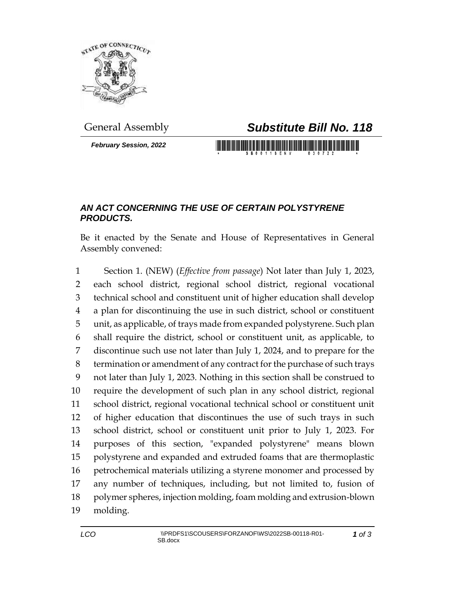

*February Session, 2022*

## General Assembly *Substitute Bill No. 118*

<u> 1989 - Andrea Stadt British Maria Shekara a Shekara ta 1989 - Andrew Shekara a Shekara ta 1989 - Andrew Shekara </u>

## *AN ACT CONCERNING THE USE OF CERTAIN POLYSTYRENE PRODUCTS.*

Be it enacted by the Senate and House of Representatives in General Assembly convened:

 Section 1. (NEW) (*Effective from passage*) Not later than July 1, 2023, each school district, regional school district, regional vocational technical school and constituent unit of higher education shall develop a plan for discontinuing the use in such district, school or constituent unit, as applicable, of trays made from expanded polystyrene. Such plan shall require the district, school or constituent unit, as applicable, to discontinue such use not later than July 1, 2024, and to prepare for the termination or amendment of any contract for the purchase of such trays not later than July 1, 2023. Nothing in this section shall be construed to require the development of such plan in any school district, regional school district, regional vocational technical school or constituent unit of higher education that discontinues the use of such trays in such school district, school or constituent unit prior to July 1, 2023. For purposes of this section, "expanded polystyrene" means blown polystyrene and expanded and extruded foams that are thermoplastic petrochemical materials utilizing a styrene monomer and processed by any number of techniques, including, but not limited to, fusion of polymer spheres, injection molding, foam molding and extrusion-blown molding.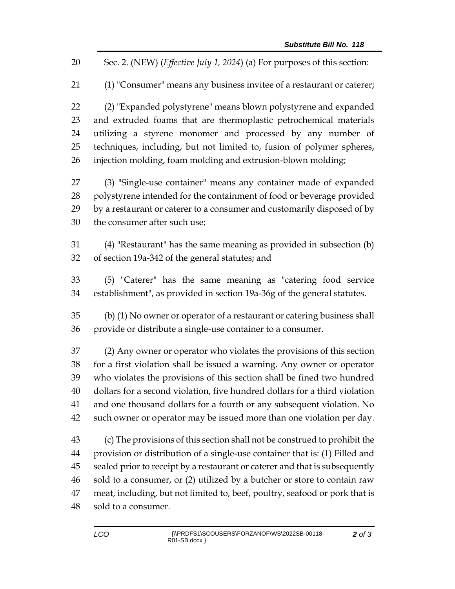Sec. 2. (NEW) (*Effective July 1, 2024*) (a) For purposes of this section:

(1) "Consumer" means any business invitee of a restaurant or caterer;

 (2) "Expanded polystyrene" means blown polystyrene and expanded and extruded foams that are thermoplastic petrochemical materials utilizing a styrene monomer and processed by any number of techniques, including, but not limited to, fusion of polymer spheres, injection molding, foam molding and extrusion-blown molding;

 (3) "Single-use container" means any container made of expanded polystyrene intended for the containment of food or beverage provided by a restaurant or caterer to a consumer and customarily disposed of by the consumer after such use;

 (4) "Restaurant" has the same meaning as provided in subsection (b) of section 19a-342 of the general statutes; and

 (5) "Caterer" has the same meaning as "catering food service establishment", as provided in section 19a-36g of the general statutes.

 (b) (1) No owner or operator of a restaurant or catering business shall provide or distribute a single-use container to a consumer.

 (2) Any owner or operator who violates the provisions of this section for a first violation shall be issued a warning. Any owner or operator who violates the provisions of this section shall be fined two hundred dollars for a second violation, five hundred dollars for a third violation and one thousand dollars for a fourth or any subsequent violation. No such owner or operator may be issued more than one violation per day.

 (c) The provisions of this section shall not be construed to prohibit the provision or distribution of a single-use container that is: (1) Filled and sealed prior to receipt by a restaurant or caterer and that is subsequently sold to a consumer, or (2) utilized by a butcher or store to contain raw meat, including, but not limited to, beef, poultry, seafood or pork that is sold to a consumer.